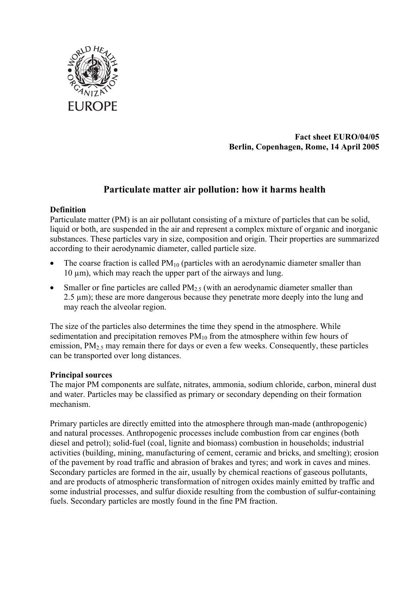

**Fact sheet EURO/04/05 Berlin, Copenhagen, Rome, 14 April 2005** 

# **Particulate matter air pollution: how it harms health**

## **Definition**

Particulate matter (PM) is an air pollutant consisting of a mixture of particles that can be solid, liquid or both, are suspended in the air and represent a complex mixture of organic and inorganic substances. These particles vary in size, composition and origin. Their properties are summarized according to their aerodynamic diameter, called particle size.

- The coarse fraction is called  $PM_{10}$  (particles with an aerodynamic diameter smaller than  $10 \mu m$ , which may reach the upper part of the airways and lung.
- Smaller or fine particles are called  $PM<sub>2.5</sub>$  (with an aerodynamic diameter smaller than 2.5 um); these are more dangerous because they penetrate more deeply into the lung and may reach the alveolar region.

The size of the particles also determines the time they spend in the atmosphere. While sedimentation and precipitation removes  $PM_{10}$  from the atmosphere within few hours of emission,  $PM_2$ <sub>5</sub> may remain there for days or even a few weeks. Consequently, these particles can be transported over long distances.

## **Principal sources**

The major PM components are sulfate, nitrates, ammonia, sodium chloride, carbon, mineral dust and water. Particles may be classified as primary or secondary depending on their formation mechanism.

Primary particles are directly emitted into the atmosphere through man-made (anthropogenic) and natural processes. Anthropogenic processes include combustion from car engines (both diesel and petrol); solid-fuel (coal, lignite and biomass) combustion in households; industrial activities (building, mining, manufacturing of cement, ceramic and bricks, and smelting); erosion of the pavement by road traffic and abrasion of brakes and tyres; and work in caves and mines. Secondary particles are formed in the air, usually by chemical reactions of gaseous pollutants, and are products of atmospheric transformation of nitrogen oxides mainly emitted by traffic and some industrial processes, and sulfur dioxide resulting from the combustion of sulfur-containing fuels. Secondary particles are mostly found in the fine PM fraction.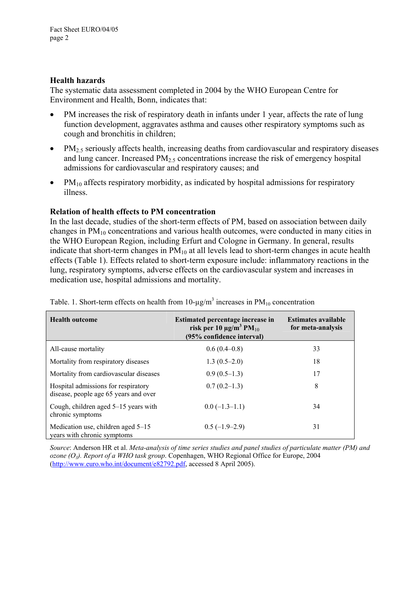### **Health hazards**

The systematic data assessment completed in 2004 by the WHO European Centre for Environment and Health, Bonn, indicates that:

- PM increases the risk of respiratory death in infants under 1 year, affects the rate of lung function development, aggravates asthma and causes other respiratory symptoms such as cough and bronchitis in children;
- PM<sub>2.5</sub> seriously affects health, increasing deaths from cardiovascular and respiratory diseases and lung cancer. Increased  $PM<sub>2.5</sub>$  concentrations increase the risk of emergency hospital admissions for cardiovascular and respiratory causes; and
- $PM_{10}$  affects respiratory morbidity, as indicated by hospital admissions for respiratory illness.

## **Relation of health effects to PM concentration**

In the last decade, studies of the short-term effects of PM, based on association between daily changes in PM10 concentrations and various health outcomes, were conducted in many cities in the WHO European Region, including Erfurt and Cologne in Germany. In general, results indicate that short-term changes in  $PM_{10}$  at all levels lead to short-term changes in acute health effects (Table 1). Effects related to short-term exposure include: inflammatory reactions in the lung, respiratory symptoms, adverse effects on the cardiovascular system and increases in medication use, hospital admissions and mortality.

| <b>Health outcome</b>                                                        | Estimated percentage increase in<br>risk per 10 $\mu$ g/m <sup>3</sup> PM <sub>10</sub><br>(95% confidence interval) | <b>Estimates available</b><br>for meta-analysis |  |
|------------------------------------------------------------------------------|----------------------------------------------------------------------------------------------------------------------|-------------------------------------------------|--|
| All-cause mortality                                                          | $0.6(0.4-0.8)$                                                                                                       | 33                                              |  |
| Mortality from respiratory diseases                                          | $1.3(0.5-2.0)$                                                                                                       | 18                                              |  |
| Mortality from cardiovascular diseases                                       | $0.9(0.5-1.3)$                                                                                                       | 17                                              |  |
| Hospital admissions for respiratory<br>disease, people age 65 years and over | $0.7(0.2-1.3)$                                                                                                       | 8                                               |  |
| Cough, children aged 5–15 years with<br>chronic symptoms                     | $0.0(-1.3-1.1)$                                                                                                      | 34                                              |  |
| Medication use, children aged 5-15<br>years with chronic symptoms            | $0.5(-1.9-2.9)$                                                                                                      | 31                                              |  |

Table. 1. Short-term effects on health from  $10$ - $\mu$ g/m<sup>3</sup> increases in PM<sub>10</sub> concentration

*Source*: Anderson HR et al. *Meta-analysis of time series studies and panel studies of particulate matter (PM) and ozone (O3). Report of a WHO task group*. Copenhagen, WHO Regional Office for Europe, 2004 (http://www.euro.who.int/document/e82792.pdf, accessed 8 April 2005).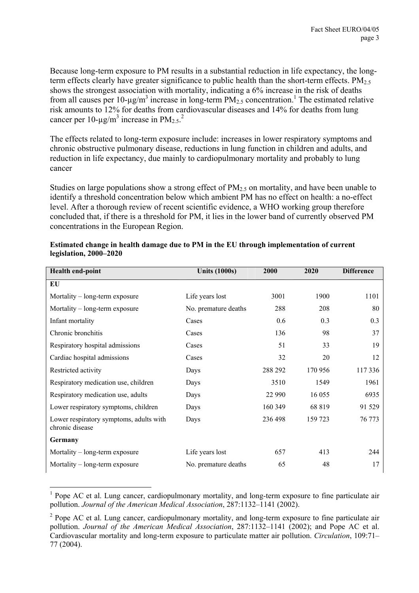Because long-term exposure to PM results in a substantial reduction in life expectancy, the longterm effects clearly have greater significance to public health than the short-term effects.  $PM<sub>2.5</sub>$ shows the strongest association with mortality, indicating a 6% increase in the risk of deaths from all causes per 10- $\mu$ g/m<sup>3</sup> increase in long-term PM<sub>2.5</sub> concentration.<sup>1</sup> The estimated relative risk amounts to 12% for deaths from cardiovascular diseases and 14% for deaths from lung cancer per 10- $\mu$ g/m<sup>3</sup> increase in PM<sub>2.5</sub>.<sup>2</sup>

The effects related to long-term exposure include: increases in lower respiratory symptoms and chronic obstructive pulmonary disease, reductions in lung function in children and adults, and reduction in life expectancy, due mainly to cardiopulmonary mortality and probably to lung cancer

Studies on large populations show a strong effect of  $PM<sub>2.5</sub>$  on mortality, and have been unable to identify a threshold concentration below which ambient PM has no effect on health: a no-effect level. After a thorough review of recent scientific evidence, a WHO working group therefore concluded that, if there is a threshold for PM, it lies in the lower band of currently observed PM concentrations in the European Region.

| Health end-point                                           | <b>Units (1000s)</b> | 2000    | 2020    | <b>Difference</b> |
|------------------------------------------------------------|----------------------|---------|---------|-------------------|
| EU                                                         |                      |         |         |                   |
| Mortality – long-term exposure                             | Life years lost      | 3001    | 1900    | 1101              |
| Mortality – long-term exposure                             | No. premature deaths | 288     | 208     | 80                |
| Infant mortality                                           | Cases                | 0.6     | 0.3     | 0.3               |
| Chronic bronchitis                                         | Cases                | 136     | 98      | 37                |
| Respiratory hospital admissions                            | Cases                | 51      | 33      | 19                |
| Cardiac hospital admissions                                | Cases                | 32      | 20      | 12                |
| Restricted activity                                        | Days                 | 288 292 | 170 956 | 117336            |
| Respiratory medication use, children                       | Days                 | 3510    | 1549    | 1961              |
| Respiratory medication use, adults                         | Days                 | 22 990  | 16 055  | 6935              |
| Lower respiratory symptoms, children                       | Days                 | 160 349 | 68 819  | 91 529            |
| Lower respiratory symptoms, adults with<br>chronic disease | Days                 | 236 498 | 159 723 | 76 773            |
| Germany                                                    |                      |         |         |                   |
| Mortality $-$ long-term exposure                           | Life years lost      | 657     | 413     | 244               |
| Mortality $-$ long-term exposure                           | No. premature deaths | 65      | 48      | 17                |

| Estimated change in health damage due to PM in the EU through implementation of current |  |
|-----------------------------------------------------------------------------------------|--|
| legislation, $2000-2020$                                                                |  |

 $\overline{a}$ 

<sup>&</sup>lt;sup>1</sup> Pope AC et al. Lung cancer, cardiopulmonary mortality, and long-term exposure to fine particulate air pollution. *Journal of the American Medical Association*, 287:1132–1141 (2002).

<sup>&</sup>lt;sup>2</sup> Pope AC et al. Lung cancer, cardiopulmonary mortality, and long-term exposure to fine particulate air pollution. *Journal of the American Medical Association*, 287:1132–1141 (2002); and Pope AC et al. Cardiovascular mortality and long-term exposure to particulate matter air pollution. *Circulation*, 109:71– 77 (2004).